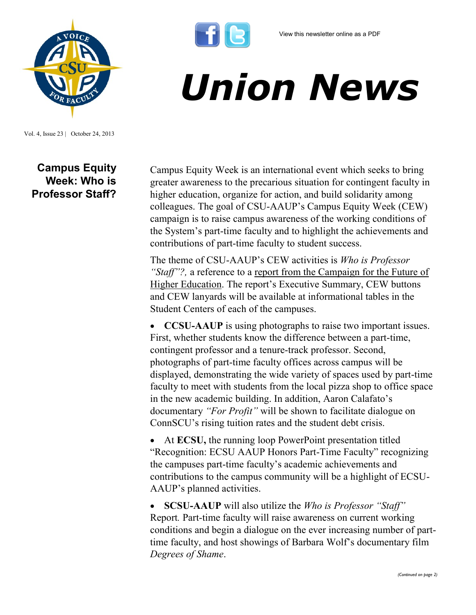

Vol. 4, Issue 23 | October 24, 2013

**Campus Equity Week: Who is Professor Staff?**

## *Union News*

Campus Equity Week is an international event which seeks to bring greater awareness to the precarious situation for contingent faculty in higher education, organize for action, and build solidarity among colleagues. The goal of CSU-AAUP's Campus Equity Week (CEW) campaign is to raise campus awareness of the working conditions of the System's part-time faculty and to highlight the achievements and contributions of part-time faculty to student success.

The theme of CSU-AAUP's CEW activities is *Who is Professor "Staff"?,* a reference to a [report from the Campaign for the Future of](http://futureofhighered.org/policy-report-2/)  [Higher Education](http://futureofhighered.org/policy-report-2/). The report's Executive Summary, CEW buttons and CEW lanyards will be available at informational tables in the Student Centers of each of the campuses.

 **CCSU-AAUP** is using photographs to raise two important issues. First, whether students know the difference between a part-time, contingent professor and a tenure-track professor. Second, photographs of part-time faculty offices across campus will be displayed, demonstrating the wide variety of spaces used by part-time faculty to meet with students from the local pizza shop to office space in the new academic building. In addition, Aaron Calafato's documentary *"For Profit"* will be shown to facilitate dialogue on ConnSCU's rising tuition rates and the student debt crisis.

 At **ECSU,** the running loop PowerPoint presentation titled "Recognition: ECSU AAUP Honors Part-Time Faculty" recognizing the campuses part-time faculty's academic achievements and contributions to the campus community will be a highlight of ECSU-AAUP's planned activities.

 **SCSU-AAUP** will also utilize the *Who is Professor "Staff"*  Report*.* Part-time faculty will raise awareness on current working conditions and begin a dialogue on the ever increasing number of parttime faculty, and host showings of Barbara Wolf's documentary film *Degrees of Shame*.